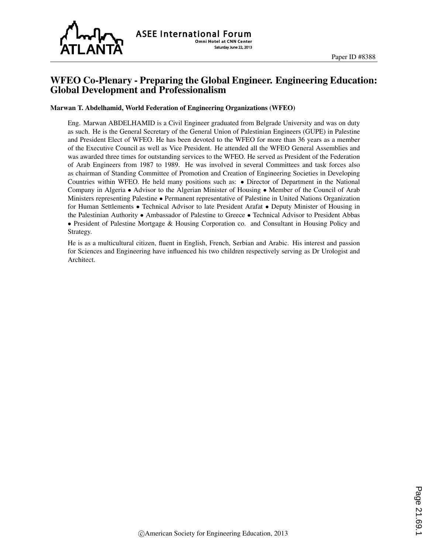

# WFEO Co-Plenary - Preparing the Global Engineer. Engineering Education: Global Development and Professionalism

### Marwan T. Abdelhamid, World Federation of Engineering Organizations (WFEO)

Eng. Marwan ABDELHAMID is a Civil Engineer graduated from Belgrade University and was on duty as such. He is the General Secretary of the General Union of Palestinian Engineers (GUPE) in Palestine and President Elect of WFEO. He has been devoted to the WFEO for more than 36 years as a member of the Executive Council as well as Vice President. He attended all the WFEO General Assemblies and was awarded three times for outstanding services to the WFEO. He served as President of the Federation of Arab Engineers from 1987 to 1989. He was involved in several Committees and task forces also as chairman of Standing Committee of Promotion and Creation of Engineering Societies in Developing Countries within WFEO. He held many positions such as: • Director of Department in the National Company in Algeria • Advisor to the Algerian Minister of Housing • Member of the Council of Arab Ministers representing Palestine • Permanent representative of Palestine in United Nations Organization for Human Settlements • Technical Advisor to late President Arafat • Deputy Minister of Housing in the Palestinian Authority • Ambassador of Palestine to Greece • Technical Advisor to President Abbas • President of Palestine Mortgage & Housing Corporation co. and Consultant in Housing Policy and Strategy.

He is as a multicultural citizen, fluent in English, French, Serbian and Arabic. His interest and passion for Sciences and Engineering have influenced his two children respectively serving as Dr Urologist and Architect.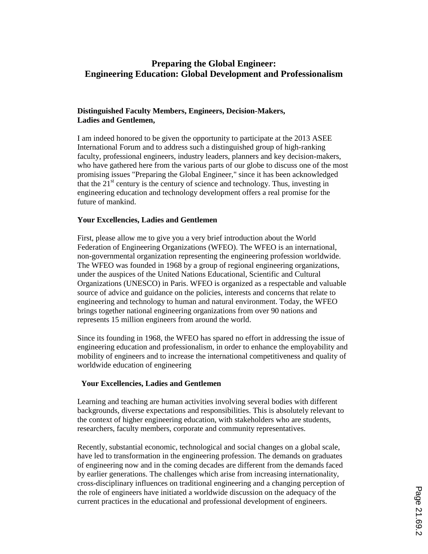# **Preparing the Global Engineer: Engineering Education: Global Development and Professionalism**

## **Distinguished Faculty Members, Engineers, Decision-Makers, Ladies and Gentlemen,**

I am indeed honored to be given the opportunity to participate at the 2013 ASEE International Forum and to address such a distinguished group of high-ranking faculty, professional engineers, industry leaders, planners and key decision-makers, who have gathered here from the various parts of our globe to discuss one of the most promising issues "Preparing the Global Engineer," since it has been acknowledged that the  $21<sup>st</sup>$  century is the century of science and technology. Thus, investing in engineering education and technology development offers a real promise for the future of mankind.

## **Your Excellencies, Ladies and Gentlemen**

First, please allow me to give you a very brief introduction about the World Federation of Engineering Organizations (WFEO). The WFEO is an international, non-governmental organization representing the engineering profession worldwide. The WFEO was founded in 1968 by a group of regional engineering organizations, under the auspices of the United Nations Educational, Scientific and Cultural Organizations (UNESCO) in Paris. WFEO is organized as a respectable and valuable source of advice and guidance on the policies, interests and concerns that relate to engineering and technology to human and natural environment. Today, the WFEO brings together national engineering organizations from over 90 nations and represents 15 million engineers from around the world.

Since its founding in 1968, the WFEO has spared no effort in addressing the issue of engineering education and professionalism, in order to enhance the employability and mobility of engineers and to increase the international competitiveness and quality of worldwide education of engineering

#### **Your Excellencies, Ladies and Gentlemen**

Learning and teaching are human activities involving several bodies with different backgrounds, diverse expectations and responsibilities. This is absolutely relevant to the context of higher engineering education, with stakeholders who are students, researchers, faculty members, corporate and community representatives.

Recently, substantial economic, technological and social changes on a global scale, have led to transformation in the engineering profession. The demands on graduates of engineering now and in the coming decades are different from the demands faced by earlier generations. The challenges which arise from increasing internationality, cross-disciplinary influences on traditional engineering and a changing perception of the role of engineers have initiated a worldwide discussion on the adequacy of the current practices in the educational and professional development of engineers.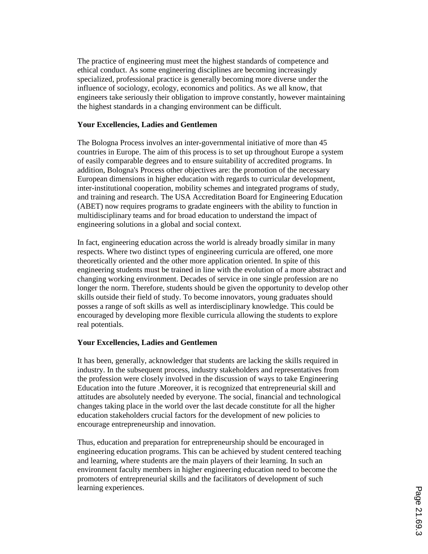The practice of engineering must meet the highest standards of competence and ethical conduct. As some engineering disciplines are becoming increasingly specialized, professional practice is generally becoming more diverse under the influence of sociology, ecology, economics and politics. As we all know, that engineers take seriously their obligation to improve constantly, however maintaining the highest standards in a changing environment can be difficult.

### **Your Excellencies, Ladies and Gentlemen**

The Bologna Process involves an inter-governmental initiative of more than 45 countries in Europe. The aim of this process is to set up throughout Europe a system of easily comparable degrees and to ensure suitability of accredited programs. In addition, Bologna's Process other objectives are: the promotion of the necessary European dimensions in higher education with regards to curricular development, inter-institutional cooperation, mobility schemes and integrated programs of study, and training and research. The USA Accreditation Board for Engineering Education (ABET) now requires programs to gradate engineers with the ability to function in multidisciplinary teams and for broad education to understand the impact of engineering solutions in a global and social context.

In fact, engineering education across the world is already broadly similar in many respects. Where two distinct types of engineering curricula are offered, one more theoretically oriented and the other more application oriented. In spite of this engineering students must be trained in line with the evolution of a more abstract and changing working environment. Decades of service in one single profession are no longer the norm. Therefore, students should be given the opportunity to develop other skills outside their field of study. To become innovators, young graduates should posses a range of soft skills as well as interdisciplinary knowledge. This could be encouraged by developing more flexible curricula allowing the students to explore real potentials.

## **Your Excellencies, Ladies and Gentlemen**

It has been, generally, acknowledger that students are lacking the skills required in industry. In the subsequent process, industry stakeholders and representatives from the profession were closely involved in the discussion of ways to take Engineering Education into the future .Moreover, it is recognized that entrepreneurial skill and attitudes are absolutely needed by everyone. The social, financial and technological changes taking place in the world over the last decade constitute for all the higher education stakeholders crucial factors for the development of new policies to encourage entrepreneurship and innovation.

Thus, education and preparation for entrepreneurship should be encouraged in engineering education programs. This can be achieved by student centered teaching and learning, where students are the main players of their learning. In such an environment faculty members in higher engineering education need to become the promoters of entrepreneurial skills and the facilitators of development of such learning experiences.